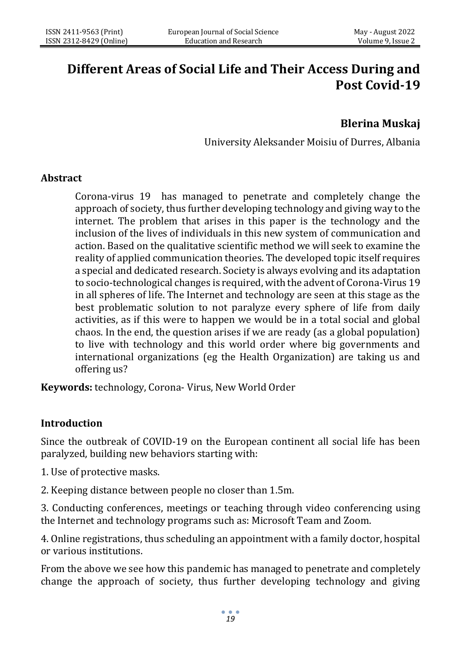# **Different Areas of Social Life and Their Access During and Post Covid-19**

## **Blerina Muskaj**

University Aleksander Moisiu of Durres, Albania

### **Abstract**

Corona-virus 19 has managed to penetrate and completely change the approach of society, thus further developing technology and giving way to the internet. The problem that arises in this paper is the technology and the inclusion of the lives of individuals in this new system of communication and action. Based on the qualitative scientific method we will seek to examine the reality of applied communication theories. The developed topic itself requires a special and dedicated research. Society is always evolving and its adaptation to socio-technological changes is required, with the advent of Corona-Virus 19 in all spheres of life. The Internet and technology are seen at this stage as the best problematic solution to not paralyze every sphere of life from daily activities, as if this were to happen we would be in a total social and global chaos. In the end, the question arises if we are ready (as a global population) to live with technology and this world order where big governments and international organizations (eg the Health Organization) are taking us and offering us?

**Keywords:** technology, Corona- Virus, New World Order

### **Introduction**

Since the outbreak of COVID-19 on the European continent all social life has been paralyzed, building new behaviors starting with:

1. Use of protective masks.

2. Keeping distance between people no closer than 1.5m.

3. Conducting conferences, meetings or teaching through video conferencing using the Internet and technology programs such as: Microsoft Team and Zoom.

4. Online registrations, thus scheduling an appointment with a family doctor, hospital or various institutions.

From the above we see how this pandemic has managed to penetrate and completely change the approach of society, thus further developing technology and giving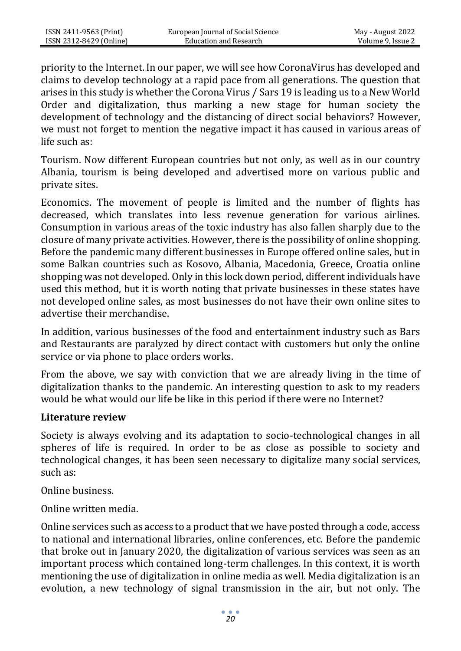priority to the Internet. In our paper, we will see how CoronaVirus has developed and claims to develop technology at a rapid pace from all generations. The question that arises in this study is whether the Corona Virus / Sars 19 is leading us to a New World Order and digitalization, thus marking a new stage for human society the development of technology and the distancing of direct social behaviors? However, we must not forget to mention the negative impact it has caused in various areas of life such as:

Tourism. Now different European countries but not only, as well as in our country Albania, tourism is being developed and advertised more on various public and private sites.

Economics. The movement of people is limited and the number of flights has decreased, which translates into less revenue generation for various airlines. Consumption in various areas of the toxic industry has also fallen sharply due to the closure of many private activities. However, there is the possibility of online shopping. Before the pandemic many different businesses in Europe offered online sales, but in some Balkan countries such as Kosovo, Albania, Macedonia, Greece, Croatia online shopping was not developed. Only in this lock down period, different individuals have used this method, but it is worth noting that private businesses in these states have not developed online sales, as most businesses do not have their own online sites to advertise their merchandise.

In addition, various businesses of the food and entertainment industry such as Bars and Restaurants are paralyzed by direct contact with customers but only the online service or via phone to place orders works.

From the above, we say with conviction that we are already living in the time of digitalization thanks to the pandemic. An interesting question to ask to my readers would be what would our life be like in this period if there were no Internet?

### **Literature review**

Society is always evolving and its adaptation to socio-technological changes in all spheres of life is required. In order to be as close as possible to society and technological changes, it has been seen necessary to digitalize many social services, such as:

Online business.

Online written media.

Online services such as access to a product that we have posted through a code, access to national and international libraries, online conferences, etc. Before the pandemic that broke out in January 2020, the digitalization of various services was seen as an important process which contained long-term challenges. In this context, it is worth mentioning the use of digitalization in online media as well. Media digitalization is an evolution, a new technology of signal transmission in the air, but not only. The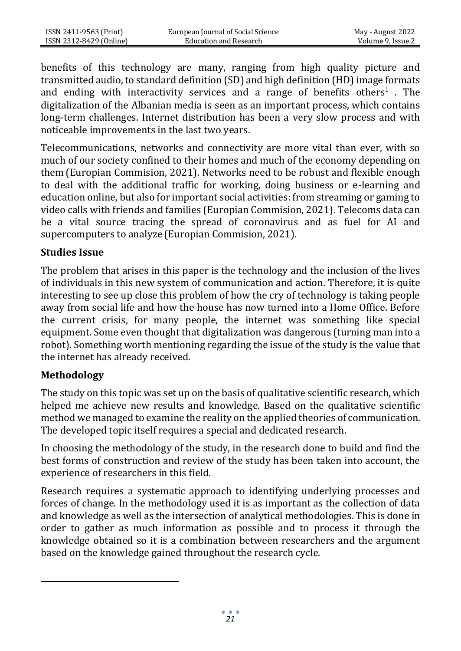benefits of this technology are many, ranging from high quality picture and transmitted audio, to standard definition (SD) and high definition (HD) image formats and ending with interactivity services and a range of benefits others<sup>1</sup>. The digitalization of the Albanian media is seen as an important process, which contains long-term challenges. Internet distribution has been a very slow process and with noticeable improvements in the last two years.

Telecommunications, networks and connectivity are more vital than ever, with so much of our society confined to their homes and much of the economy depending on them (Europian Commision, 2021). Networks need to be robust and flexible enough to deal with the additional traffic for working, doing business or e-learning and education online, but also for important social activities: from streaming or gaming to video calls with friends and families (Europian Commision, 2021). Telecoms data can be a vital source tracing the spread of coronavirus and as fuel for AI and supercomputers to analyze (Europian Commision, 2021).

## **Studies Issue**

The problem that arises in this paper is the technology and the inclusion of the lives of individuals in this new system of communication and action. Therefore, it is quite interesting to see up close this problem of how the cry of technology is taking people away from social life and how the house has now turned into a Home Office. Before the current crisis, for many people, the internet was something like special equipment. Some even thought that digitalization was dangerous (turning man into a robot). Something worth mentioning regarding the issue of the study is the value that the internet has already received.

## **Methodology**

The study on this topic was set up on the basis of qualitative scientific research, which helped me achieve new results and knowledge. Based on the qualitative scientific method we managed to examine the reality on the applied theories of communication. The developed topic itself requires a special and dedicated research.

In choosing the methodology of the study, in the research done to build and find the best forms of construction and review of the study has been taken into account, the experience of researchers in this field.

Research requires a systematic approach to identifying underlying processes and forces of change. In the methodology used it is as important as the collection of data and knowledge as well as the intersection of analytical methodologies. This is done in order to gather as much information as possible and to process it through the knowledge obtained so it is a combination between researchers and the argument based on the knowledge gained throughout the research cycle.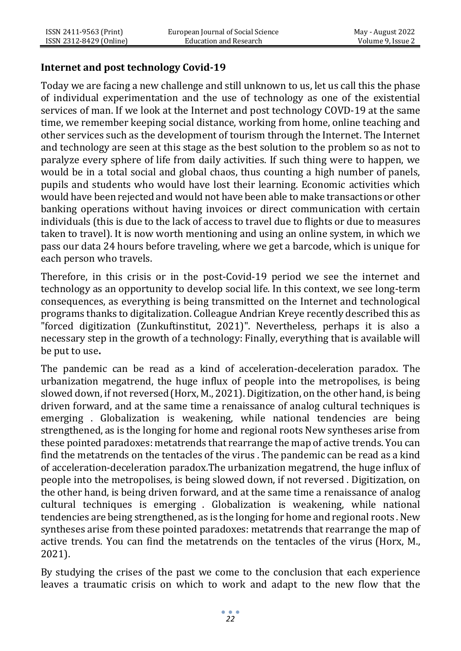## **Internet and post technology Covid-19**

Today we are facing a new challenge and still unknown to us, let us call this the phase of individual experimentation and the use of technology as one of the existential services of man. If we look at the Internet and post technology COVD-19 at the same time, we remember keeping social distance, working from home, online teaching and other services such as the development of tourism through the Internet. The Internet and technology are seen at this stage as the best solution to the problem so as not to paralyze every sphere of life from daily activities. If such thing were to happen, we would be in a total social and global chaos, thus counting a high number of panels, pupils and students who would have lost their learning. Economic activities which would have been rejected and would not have been able to make transactions or other banking operations without having invoices or direct communication with certain individuals (this is due to the lack of access to travel due to flights or due to measures taken to travel). It is now worth mentioning and using an online system, in which we pass our data 24 hours before traveling, where we get a barcode, which is unique for each person who travels.

Therefore, in this crisis or in the post-Covid-19 period we see the internet and technology as an opportunity to develop social life. In this context, we see long-term consequences, as everything is being transmitted on the Internet and technological programs thanks to digitalization. Colleague Andrian Kreye recently described this as "forced digitization (Zunkuftinstitut, 2021)". Nevertheless, perhaps it is also a necessary step in the growth of a technology: Finally, everything that is available will be put to use**.**

The pandemic can be read as a kind of acceleration-deceleration paradox. The urbanization megatrend, the huge influx of people into the metropolises, is being slowed down, if not reversed(Horx, M., 2021). Digitization, on the other hand, is being driven forward, and at the same time a renaissance of analog cultural techniques is emerging . Globalization is weakening, while national tendencies are being strengthened, as is the longing for home and regional roots New syntheses arise from these pointed paradoxes: metatrends that rearrange the map of active trends. You can find the metatrends on the tentacles of the virus . The pandemic can be read as a kind of acceleration-deceleration paradox.The urbanization megatrend, the huge influx of people into the metropolises, is being slowed down, if not reversed . Digitization, on the other hand, is being driven forward, and at the same time a renaissance of analog cultural techniques is emerging . Globalization is weakening, while national tendencies are being strengthened, as is the longing for home and regional roots . New syntheses arise from these pointed paradoxes: metatrends that rearrange the map of active trends. You can find the metatrends on the tentacles of the virus (Horx, M., 2021).

By studying the crises of the past we come to the conclusion that each experience leaves a traumatic crisis on which to work and adapt to the new flow that the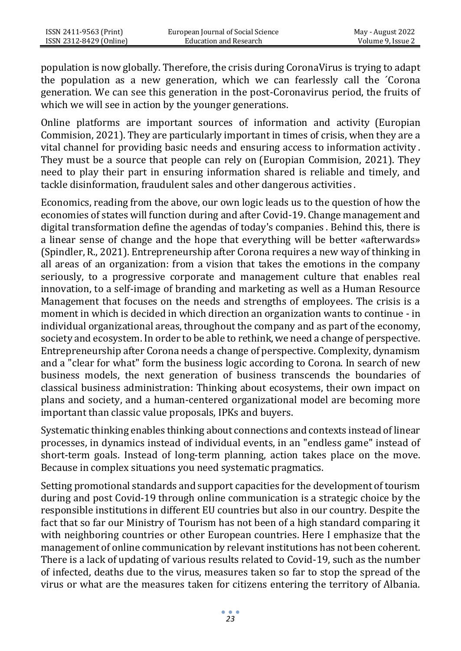population is now globally. Therefore, the crisis during CoronaVirus is trying to adapt the population as a new generation, which we can fearlessly call the ´Corona generation. We can see this generation in the post-Coronavirus period, the fruits of which we will see in action by the younger generations.

Online platforms are important sources of information and activity (Europian Commision, 2021). They are particularly important in times of crisis, when they are a vital channel for providing basic needs and ensuring access to information activity . They must be a source that people can rely on (Europian Commision, 2021). They need to play their part in ensuring information shared is reliable and timely, and tackle disinformation, fraudulent sales and other dangerous activities .

Economics, reading from the above, our own logic leads us to the question of how the economies of states will function during and after Covid-19. Change management and digital transformation define the agendas of today's companies . Behind this, there is a linear sense of change and the hope that everything will be better «afterwards» (Spindler, R., 2021). Entrepreneurship after Corona requires a new way of thinking in all areas of an organization: from a vision that takes the emotions in the company seriously, to a progressive corporate and management culture that enables real innovation, to a self-image of branding and marketing as well as a Human Resource Management that focuses on the needs and strengths of employees. The crisis is a moment in which is decided in which direction an organization wants to continue - in individual organizational areas, throughout the company and as part of the economy, society and ecosystem. In order to be able to rethink, we need a change of perspective. Entrepreneurship after Corona needs a change of perspective. Complexity, dynamism and a "clear for what" form the business logic according to Corona. In search of new business models, the next generation of business transcends the boundaries of classical business administration: Thinking about ecosystems, their own impact on plans and society, and a human-centered organizational model are becoming more important than classic value proposals, IPKs and buyers.

Systematic thinking enables thinking about connections and contexts instead of linear processes, in dynamics instead of individual events, in an "endless game" instead of short-term goals. Instead of long-term planning, action takes place on the move. Because in complex situations you need systematic pragmatics.

Setting promotional standards and support capacities for the development of tourism during and post Covid-19 through online communication is a strategic choice by the responsible institutions in different EU countries but also in our country. Despite the fact that so far our Ministry of Tourism has not been of a high standard comparing it with neighboring countries or other European countries. Here I emphasize that the management of online communication by relevant institutions has not been coherent. There is a lack of updating of various results related to Covid-19, such as the number of infected, deaths due to the virus, measures taken so far to stop the spread of the virus or what are the measures taken for citizens entering the territory of Albania.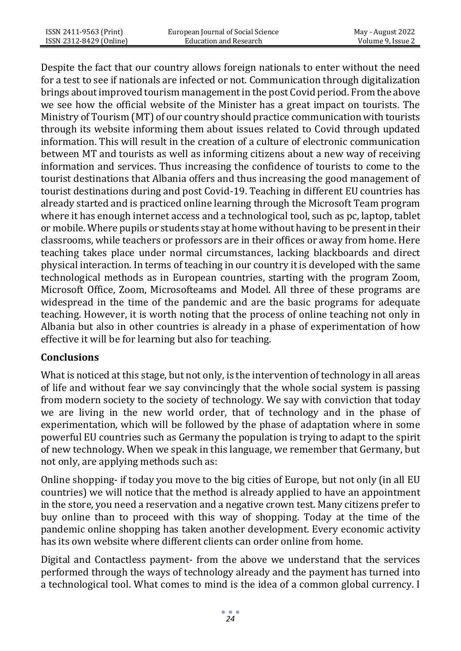Despite the fact that our country allows foreign nationals to enter without the need for a test to see if nationals are infected or not. Communication through digitalization brings about improved tourism management in the post Covid period. From the above we see how the official website of the Minister has a great impact on tourists. The Ministry of Tourism (MT) of our country should practice communication with tourists through its website informing them about issues related to Covid through updated information. This will result in the creation of a culture of electronic communication between MT and tourists as well as informing citizens about a new way of receiving information and services. Thus increasing the confidence of tourists to come to the tourist destinations that Albania offers and thus increasing the good management of tourist destinations during and post Covid-19. Teaching in different EU countries has already started and is practiced online learning through the Microsoft Team program where it has enough internet access and a technological tool, such as pc, laptop, tablet or mobile. Where pupils or students stay at home without having to be present in their classrooms, while teachers or professors are in their offices or away from home. Here teaching takes place under normal circumstances, lacking blackboards and direct physical interaction. In terms of teaching in our country it is developed with the same technological methods as in European countries, starting with the program Zoom, Microsoft Office, Zoom, Microsofteams and Model. All three of these programs are widespread in the time of the pandemic and are the basic programs for adequate teaching. However, it is worth noting that the process of online teaching not only in Albania but also in other countries is already in a phase of experimentation of how effective it will be for learning but also for teaching.

## **Conclusions**

What is noticed at this stage, but not only, is the intervention of technology in all areas of life and without fear we say convincingly that the whole social system is passing from modern society to the society of technology. We say with conviction that today we are living in the new world order, that of technology and in the phase of experimentation, which will be followed by the phase of adaptation where in some powerful EU countries such as Germany the population is trying to adapt to the spirit of new technology. When we speak in this language, we remember that Germany, but not only, are applying methods such as:

Online shopping- if today you move to the big cities of Europe, but not only (in all EU countries) we will notice that the method is already applied to have an appointment in the store, you need a reservation and a negative crown test. Many citizens prefer to buy online than to proceed with this way of shopping. Today at the time of the pandemic online shopping has taken another development. Every economic activity has its own website where different clients can order online from home.

Digital and Contactless payment- from the above we understand that the services performed through the ways of technology already and the payment has turned into a technological tool. What comes to mind is the idea of a common global currency. I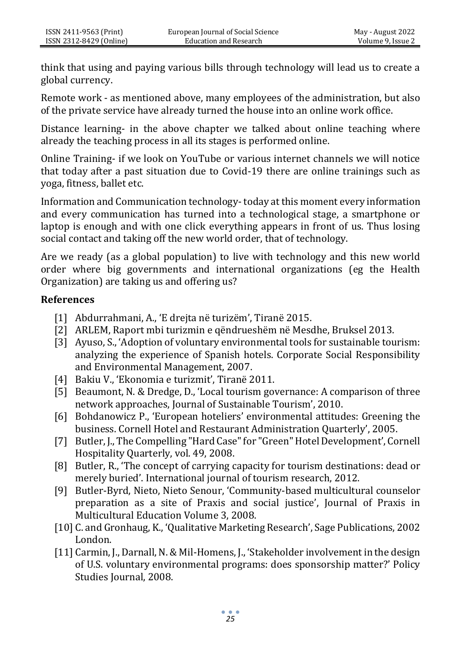think that using and paying various bills through technology will lead us to create a global currency.

Remote work - as mentioned above, many employees of the administration, but also of the private service have already turned the house into an online work office.

Distance learning- in the above chapter we talked about online teaching where already the teaching process in all its stages is performed online.

Online Training- if we look on YouTube or various internet channels we will notice that today after a past situation due to Covid-19 there are online trainings such as yoga, fitness, ballet etc.

Information and Communication technology- today at this moment every information and every communication has turned into a technological stage, a smartphone or laptop is enough and with one click everything appears in front of us. Thus losing social contact and taking off the new world order, that of technology.

Are we ready (as a global population) to live with technology and this new world order where big governments and international organizations (eg the Health Organization) are taking us and offering us?

### **References**

- [1] Abdurrahmani, A., 'E drejta në turizëm', Tiranë 2015.
- [2] ARLEM, Raport mbi turizmin e qëndrueshëm në Mesdhe, Bruksel 2013.
- [3] Ayuso, S., 'Adoption of voluntary environmental tools for sustainable tourism: analyzing the experience of Spanish hotels. Corporate Social Responsibility and Environmental Management, 2007.
- [4] Bakiu V., 'Ekonomia e turizmit', Tiranë 2011.
- [5] Beaumont, N. & Dredge, D., 'Local tourism governance: A comparison of three network approaches, Journal of Sustainable Tourism', 2010.
- [6] Bohdanowicz P., 'European hoteliers' environmental attitudes: Greening the business. Cornell Hotel and Restaurant Administration Quarterly', 2005.
- [7] Butler, J., The Compelling "Hard Case" for "Green" Hotel Development', Cornell Hospitality Quarterly, vol. 49, 2008.
- [8] Butler, R., 'The concept of carrying capacity for tourism destinations: dead or merely buried'. International journal of tourism research, 2012.
- [9] Butler-Byrd, Nieto, Nieto Senour, 'Community-based multicultural counselor preparation as a site of Praxis and social justice', Journal of Praxis in Multicultural Education Volume 3, 2008.
- [10] C. and Gronhaug, K., 'Qualitative Marketing Research', Sage Publications, 2002 London.
- [11] Carmin, J., Darnall, N. & Mil-Homens, J., 'Stakeholder involvement in the design of U.S. voluntary environmental programs: does sponsorship matter?' Policy Studies Journal, 2008.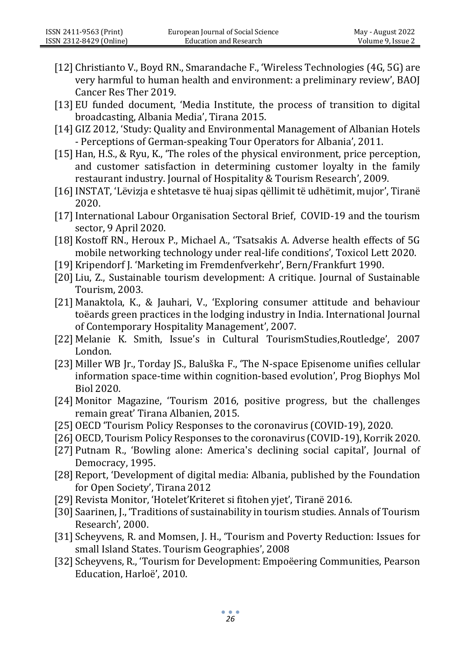- [12] Christianto V., Boyd RN., Smarandache F., 'Wireless Technologies (4G, 5G) are very harmful to human health and environment: a preliminary review', BAOJ Cancer Res Ther 2019.
- [13] EU funded document, 'Media Institute, the process of transition to digital broadcasting, Albania Media', Tirana 2015.
- [14] GIZ 2012, 'Study: Quality and Environmental Management of Albanian Hotels - Perceptions of German-speaking Tour Operators for Albania', 2011.
- [15]Han, H.S., & Ryu, K., 'The roles of the physical environment, price perception, and customer satisfaction in determining customer loyalty in the family restaurant industry. Journal of Hospitality & Tourism Research', 2009.
- [16]INSTAT, 'Lëvizja e shtetasve të huaj sipas qëllimit të udhëtimit, mujor', Tiranë 2020.
- [17]International Labour Organisation Sectoral Brief, COVID-19 and the tourism sector, 9 April 2020.
- [18] Kostoff RN., Heroux P., Michael A., 'Tsatsakis A. Adverse health effects of 5G mobile networking technology under real-life conditions', Toxicol Lett 2020.
- [19] Kripendorf J. 'Marketing im Fremdenfverkehr', Bern/Frankfurt 1990.
- [20] Liu, Z., Sustainable tourism development: A critique. Journal of Sustainable Tourism, 2003.
- [21] Manaktola, K., & Jauhari, V., 'Exploring consumer attitude and behaviour toëards green practices in the lodging industry in India. International Journal of Contemporary Hospitality Management', 2007.
- [22] Melanie K. Smith, Issue's in Cultural TourismStudies,Routledge', 2007 London.
- [23] Miller WB Jr., Torday JS., Baluška F., 'The N-space Episenome unifies cellular information space-time within cognition-based evolution', Prog Biophys Mol Biol 2020.
- [24] Monitor Magazine, 'Tourism 2016, positive progress, but the challenges remain great' Tirana Albanien, 2015.
- [25] OECD 'Tourism Policy Responses to the coronavirus (COVID-19), 2020.
- [26] OECD, Tourism Policy Responses to the coronavirus (COVID-19), Korrik 2020.
- [27] Putnam R., 'Bowling alone: America's declining social capital', Journal of Democracy, 1995.
- [28] Report, 'Development of digital media: Albania, published by the Foundation for Open Society', Tirana 2012
- [29] Revista Monitor, 'Hotelet'Kriteret si fitohen yjet', Tiranë 2016.
- [30] Saarinen, J., 'Traditions of sustainability in tourism studies. Annals of Tourism Research', 2000.
- [31] Scheyvens, R. and Momsen, J. H., 'Tourism and Poverty Reduction: Issues for small Island States. Tourism Geographies', 2008
- [32] Scheyvens, R., 'Tourism for Development: Empoëering Communities, Pearson Education, Harloë', 2010.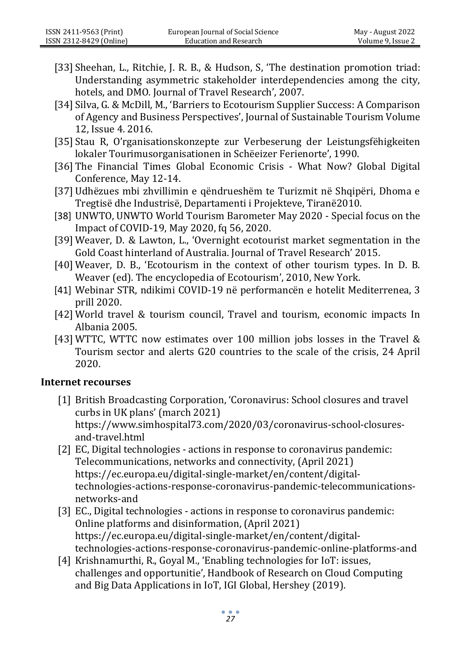- [33] Sheehan, L., Ritchie, J. R. B., & Hudson, S, 'The destination promotion triad: Understanding asymmetric stakeholder interdependencies among the city, hotels, and DMO. Journal of Travel Research', 2007.
- [34] Silva, G. & McDill, M., 'Barriers to Ecotourism Supplier Success: A Comparison of Agency and Business Perspectives', Journal of Sustainable Tourism Volume 12, Issue 4. 2016.
- [35] Stau R, O'rganisationskonzepte zur Verbeserung der Leistungsfëhigkeiten lokaler Tourimusorganisationen in Schëeizer Ferienorte', 1990.
- [36] The Financial Times Global Economic Crisis What Now? Global Digital Conference, May 12-14.
- [37] Udhëzues mbi zhvillimin e qëndrueshëm te Turizmit në Shqipëri, Dhoma e Tregtisë dhe Industrisë, Departamenti i Projekteve, Tiranë2010.
- [38] UNWTO, [UNWTO World Tourism Barometer May 2020 -](https://webunwto.s3.eu-west-1.amazonaws.com/s3fs-public/2020-05/Barometer%20-%20May%202020%20-%20Short.pdf) Special focus on the [Impact of COVID-19,](https://webunwto.s3.eu-west-1.amazonaws.com/s3fs-public/2020-05/Barometer%20-%20May%202020%20-%20Short.pdf) May 2020, fq 56, 2020.
- [39] Weaver, D. & Lawton, L., 'Overnight ecotourist market segmentation in the Gold Coast hinterland of Australia. Journal of Travel Research' 2015.
- [40] Weaver, D. B., 'Ecotourism in the context of other tourism types. In D. B. Weaver (ed). The encyclopedia of Ecotourism', 2010, New York.
- [41] Webinar STR, ndikimi COVID-19 në performancën e hotelit Mediterrenea, 3 prill 2020.
- [42] World travel & tourism council, Travel and tourism, economic impacts In Albania 2005.
- [43] WTTC, WTTC now estimates over 100 million jobs losses in the Travel & Tourism sector and alerts G20 countries to the scale of the crisis, 24 April 2020.

### **Internet recourses**

- [1] British Broadcasting Corporation, 'Coronavirus: School closures and travel curbs in UK plans' (march 2021) https://www.simhospital73.com/2020/03/coronavirus-school-closuresand-travel.html
- [2] EC, Digital technologies actions in response to coronavirus pandemic: Telecommunications, networks and connectivity, (April 2021) [https://ec.europa.eu/digital-single-market/en/content/digital](https://ec.europa.eu/digital-single-market/en/content/digital-technologies-actions-response-coronavirus-pandemic-telecommunications-networks-and)[technologies-actions-response-coronavirus-pandemic-telecommunications](https://ec.europa.eu/digital-single-market/en/content/digital-technologies-actions-response-coronavirus-pandemic-telecommunications-networks-and)[networks-and](https://ec.europa.eu/digital-single-market/en/content/digital-technologies-actions-response-coronavirus-pandemic-telecommunications-networks-and)
- [3] EC., Digital technologies actions in response to coronavirus pandemic: Online platforms and disinformation, (April 2021) [https://ec.europa.eu/digital-single-market/en/content/digital](https://ec.europa.eu/digital-single-market/en/content/digital-technologies-actions-response-coronavirus-pandemic-online-platforms-and)[technologies-actions-response-coronavirus-pandemic-online-platforms-and](https://ec.europa.eu/digital-single-market/en/content/digital-technologies-actions-response-coronavirus-pandemic-online-platforms-and)
- [4] Krishnamurthi, R., Goyal M., 'Enabling technologies for IoT: issues, challenges and opportunitie', Handbook of Research on Cloud Computing and Big Data Applications in IoT, IGI Global, Hershey (2019).